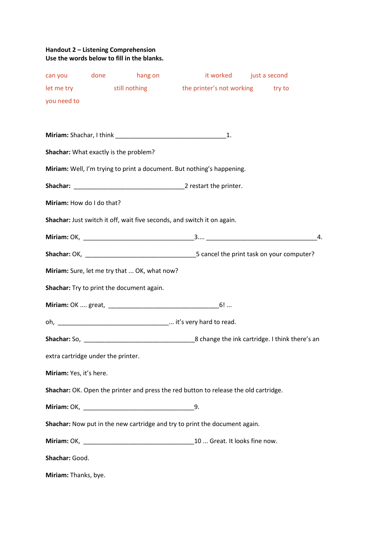## **Handout 2 – Listening Comprehension Use the words below to fill in the blanks.**

|                                    |  | can you done hang on                         |                                                                                      | it worked just a second |  |
|------------------------------------|--|----------------------------------------------|--------------------------------------------------------------------------------------|-------------------------|--|
|                                    |  |                                              | let me try still nothing the printer's not working try to                            |                         |  |
| you need to                        |  |                                              |                                                                                      |                         |  |
|                                    |  |                                              |                                                                                      |                         |  |
|                                    |  |                                              |                                                                                      |                         |  |
|                                    |  | Shachar: What exactly is the problem?        |                                                                                      |                         |  |
|                                    |  |                                              | Miriam: Well, I'm trying to print a document. But nothing's happening.               |                         |  |
|                                    |  |                                              |                                                                                      |                         |  |
| Miriam: How do I do that?          |  |                                              |                                                                                      |                         |  |
|                                    |  |                                              | Shachar: Just switch it off, wait five seconds, and switch it on again.              |                         |  |
|                                    |  |                                              |                                                                                      | 4.                      |  |
|                                    |  |                                              |                                                                                      |                         |  |
|                                    |  | Miriam: Sure, let me try that  OK, what now? |                                                                                      |                         |  |
|                                    |  | Shachar: Try to print the document again.    |                                                                                      |                         |  |
|                                    |  |                                              |                                                                                      |                         |  |
|                                    |  |                                              |                                                                                      |                         |  |
|                                    |  |                                              |                                                                                      |                         |  |
| extra cartridge under the printer. |  |                                              |                                                                                      |                         |  |
| Miriam: Yes, it's here.            |  |                                              |                                                                                      |                         |  |
|                                    |  |                                              | Shachar: OK. Open the printer and press the red button to release the old cartridge. |                         |  |
|                                    |  |                                              |                                                                                      |                         |  |
|                                    |  |                                              | Shachar: Now put in the new cartridge and try to print the document again.           |                         |  |
|                                    |  |                                              |                                                                                      |                         |  |
| Shachar: Good.                     |  |                                              |                                                                                      |                         |  |
|                                    |  |                                              |                                                                                      |                         |  |
| Miriam: Thanks, bye.               |  |                                              |                                                                                      |                         |  |